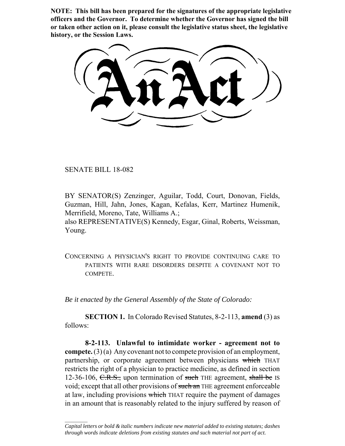**NOTE: This bill has been prepared for the signatures of the appropriate legislative officers and the Governor. To determine whether the Governor has signed the bill or taken other action on it, please consult the legislative status sheet, the legislative history, or the Session Laws.**

SENATE BILL 18-082

 $\frac{1}{2}$ 

BY SENATOR(S) Zenzinger, Aguilar, Todd, Court, Donovan, Fields, Guzman, Hill, Jahn, Jones, Kagan, Kefalas, Kerr, Martinez Humenik, Merrifield, Moreno, Tate, Williams A.;

also REPRESENTATIVE(S) Kennedy, Esgar, Ginal, Roberts, Weissman, Young.

CONCERNING A PHYSICIAN'S RIGHT TO PROVIDE CONTINUING CARE TO PATIENTS WITH RARE DISORDERS DESPITE A COVENANT NOT TO **COMPETE** 

*Be it enacted by the General Assembly of the State of Colorado:*

**SECTION 1.** In Colorado Revised Statutes, 8-2-113, **amend** (3) as follows:

**8-2-113. Unlawful to intimidate worker - agreement not to compete.** (3) (a) Any covenant not to compete provision of an employment, partnership, or corporate agreement between physicians which THAT restricts the right of a physician to practice medicine, as defined in section 12-36-106,  $C.R.S.,$  upon termination of such THE agreement, shall be IS void; except that all other provisions of such an THE agreement enforceable at law, including provisions which THAT require the payment of damages in an amount that is reasonably related to the injury suffered by reason of

*Capital letters or bold & italic numbers indicate new material added to existing statutes; dashes through words indicate deletions from existing statutes and such material not part of act.*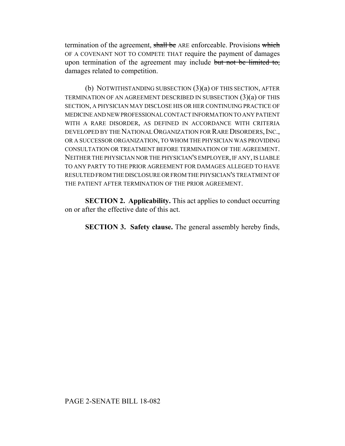termination of the agreement, shall be ARE enforceable. Provisions which OF A COVENANT NOT TO COMPETE THAT require the payment of damages upon termination of the agreement may include but not be limited to, damages related to competition.

(b) NOTWITHSTANDING SUBSECTION (3)(a) OF THIS SECTION, AFTER TERMINATION OF AN AGREEMENT DESCRIBED IN SUBSECTION (3)(a) OF THIS SECTION, A PHYSICIAN MAY DISCLOSE HIS OR HER CONTINUING PRACTICE OF MEDICINE AND NEW PROFESSIONAL CONTACT INFORMATION TO ANY PATIENT WITH A RARE DISORDER, AS DEFINED IN ACCORDANCE WITH CRITERIA DEVELOPED BY THE NATIONAL ORGANIZATION FOR RARE DISORDERS, INC., OR A SUCCESSOR ORGANIZATION, TO WHOM THE PHYSICIAN WAS PROVIDING CONSULTATION OR TREATMENT BEFORE TERMINATION OF THE AGREEMENT. NEITHER THE PHYSICIAN NOR THE PHYSICIAN'S EMPLOYER, IF ANY, IS LIABLE TO ANY PARTY TO THE PRIOR AGREEMENT FOR DAMAGES ALLEGED TO HAVE RESULTED FROM THE DISCLOSURE OR FROM THE PHYSICIAN'S TREATMENT OF THE PATIENT AFTER TERMINATION OF THE PRIOR AGREEMENT.

**SECTION 2. Applicability.** This act applies to conduct occurring on or after the effective date of this act.

**SECTION 3. Safety clause.** The general assembly hereby finds,